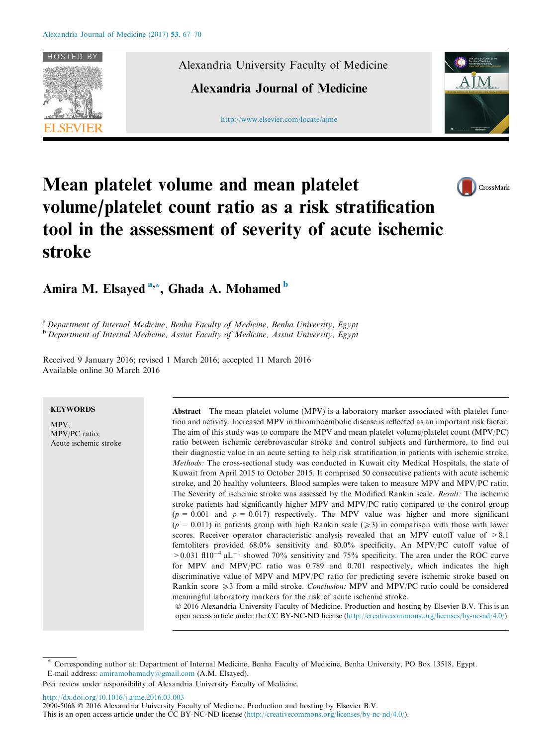

Alexandria University Faculty of Medicine

Alexandria Journal of Medicine

[http://www.elsevier.com/locate/ajme](http://www.sciencedirect.com/science/journal/20905068)



CrossMark

# Mean platelet volume and mean platelet volume/platelet count ratio as a risk stratification tool in the assessment of severity of acute ischemic stroke

# Amira M. Elsayed <sup>a,\*</sup>, Ghada A. Mohamed <sup>b</sup>

<sup>a</sup> Department of Internal Medicine, Benha Faculty of Medicine, Benha University, Egypt <sup>b</sup> Department of Internal Medicine, Assiut Faculty of Medicine, Assiut University, Egypt

Received 9 January 2016; revised 1 March 2016; accepted 11 March 2016 Available online 30 March 2016

# **KEYWORDS**

MPV; MPV/PC ratio; Acute ischemic stroke

Abstract The mean platelet volume (MPV) is a laboratory marker associated with platelet function and activity. Increased MPV in thromboembolic disease is reflected as an important risk factor. The aim of this study was to compare the MPV and mean platelet volume/platelet count (MPV/PC) ratio between ischemic cerebrovascular stroke and control subjects and furthermore, to find out their diagnostic value in an acute setting to help risk stratification in patients with ischemic stroke. Methods: The cross-sectional study was conducted in Kuwait city Medical Hospitals, the state of Kuwait from April 2015 to October 2015. It comprised 50 consecutive patients with acute ischemic stroke, and 20 healthy volunteers. Blood samples were taken to measure MPV and MPV/PC ratio. The Severity of ischemic stroke was assessed by the Modified Rankin scale. Result: The ischemic stroke patients had significantly higher MPV and MPV/PC ratio compared to the control group  $(p = 0.001$  and  $p = 0.017$ ) respectively. The MPV value was higher and more significant  $(p = 0.011)$  in patients group with high Rankin scale ( $\geq 3$ ) in comparison with those with lower scores. Receiver operator characteristic analysis revealed that an MPV cutoff value of  $>8.1$ femtoliters provided 68.0% sensitivity and 80.0% specificity. An MPV/PC cutoff value of  $>0.031$  fl10<sup>-4</sup>  $\mu$ L<sup>-1</sup> showed 70% sensitivity and 75% specificity. The area under the ROC curve for MPV and MPV/PC ratio was 0.789 and 0.701 respectively, which indicates the high discriminative value of MPV and MPV/PC ratio for predicting severe ischemic stroke based on Rankin score  $\geq 3$  from a mild stroke. Conclusion: MPV and MPV/PC ratio could be considered meaningful laboratory markers for the risk of acute ischemic stroke.

 2016 Alexandria University Faculty of Medicine. Production and hosting by Elsevier B.V. This is an open access article under the CC BY-NC-ND license ([http://creativecommons.org/licenses/by-nc-nd/4.0/\)](http://creativecommons.org/licenses/by-nc-nd/4.0/).

<http://dx.doi.org/10.1016/j.ajme.2016.03.003>

2090-5068  $\circ$  2016 Alexandria University Faculty of Medicine. Production and hosting by Elsevier B.V.

This is an open access article under the CC BY-NC-ND license [\(http://creativecommons.org/licenses/by-nc-nd/4.0/](http://creativecommons.org/licenses/by-nc-nd/4.0/)).

<sup>\*</sup> Corresponding author at: Department of Internal Medicine, Benha Faculty of Medicine, Benha University, PO Box 13518, Egypt. E-mail address: [amiramohamady@gmail.com](mailto:amiramohamady@gmail.com) (A.M. Elsayed).

Peer review under responsibility of Alexandria University Faculty of Medicine.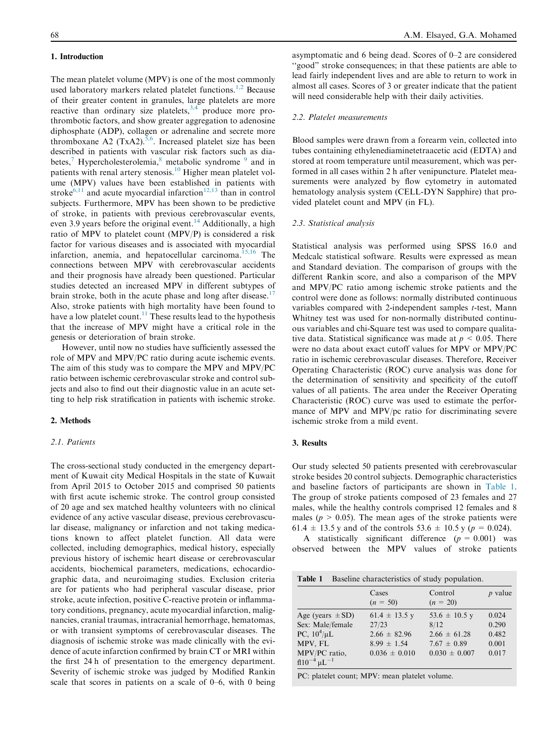## 1. Introduction

The mean platelet volume (MPV) is one of the most commonly used laboratory markers related platelet functions.<sup>[1,2](#page-3-0)</sup> Because of their greater content in granules, large platelets are more reactive than ordinary size platelets,  $3,4$  produce more prothrombotic factors, and show greater aggregation to adenosine diphosphate (ADP), collagen or adrenaline and secrete more thromboxane A2  $(TxA2)$ .<sup>5,6</sup>. Increased platelet size has been described in patients with vascular risk factors such as diabetes, $\frac{7}{1}$  $\frac{7}{1}$  $\frac{7}{1}$  Hypercholesterolemia, $\frac{8}{1}$  $\frac{8}{1}$  $\frac{8}{1}$  metabolic syndrome  $\frac{9}{1}$  $\frac{9}{1}$  $\frac{9}{1}$  and in patients with renal artery stenosis.<sup>[10](#page-3-0)</sup> Higher mean platelet volume (MPV) values have been established in patients with stroke<sup>6,11</sup> and acute myocardial infarction<sup>[12,13](#page-3-0)</sup> than in control subjects. Furthermore, MPV has been shown to be predictive of stroke, in patients with previous cerebrovascular events, even 3.9 years before the original event.<sup>[14](#page-3-0)</sup> Additionally, a high ratio of MPV to platelet count (MPV/P) is considered a risk factor for various diseases and is associated with myocardial infarction, anemia, and hepatocellular carcinoma.<sup>[15,16](#page-3-0)</sup> The connections between MPV with cerebrovascular accidents and their prognosis have already been questioned. Particular studies detected an increased MPV in different subtypes of brain stroke, both in the acute phase and long after disease.<sup>[17](#page-3-0)</sup> Also, stroke patients with high mortality have been found to have a low platelet count.<sup>[11](#page-3-0)</sup> These results lead to the hypothesis that the increase of MPV might have a critical role in the genesis or deterioration of brain stroke.

However, until now no studies have sufficiently assessed the role of MPV and MPV/PC ratio during acute ischemic events. The aim of this study was to compare the MPV and MPV/PC ratio between ischemic cerebrovascular stroke and control subjects and also to find out their diagnostic value in an acute setting to help risk stratification in patients with ischemic stroke.

# 2. Methods

## 2.1. Patients

The cross-sectional study conducted in the emergency department of Kuwait city Medical Hospitals in the state of Kuwait from April 2015 to October 2015 and comprised 50 patients with first acute ischemic stroke. The control group consisted of 20 age and sex matched healthy volunteers with no clinical evidence of any active vascular disease, previous cerebrovascular disease, malignancy or infarction and not taking medications known to affect platelet function. All data were collected, including demographics, medical history, especially previous history of ischemic heart disease or cerebrovascular accidents, biochemical parameters, medications, echocardiographic data, and neuroimaging studies. Exclusion criteria are for patients who had peripheral vascular disease, prior stroke, acute infection, positive C-reactive protein or inflammatory conditions, pregnancy, acute myocardial infarction, malignancies, cranial traumas, intracranial hemorrhage, hematomas, or with transient symptoms of cerebrovascular diseases. The diagnosis of ischemic stroke was made clinically with the evidence of acute infarction confirmed by brain CT or MRI within the first 24 h of presentation to the emergency department. Severity of ischemic stroke was judged by Modified Rankin scale that scores in patients on a scale of 0–6, with 0 being asymptomatic and 6 being dead. Scores of 0–2 are considered ''good" stroke consequences; in that these patients are able to lead fairly independent lives and are able to return to work in almost all cases. Scores of 3 or greater indicate that the patient will need considerable help with their daily activities.

#### 2.2. Platelet measurements

Blood samples were drawn from a forearm vein, collected into tubes containing ethylenediaminetetraacetic acid (EDTA) and stored at room temperature until measurement, which was performed in all cases within 2 h after venipuncture. Platelet measurements were analyzed by flow cytometry in automated hematology analysis system (CELL-DYN Sapphire) that provided platelet count and MPV (in FL).

#### 2.3. Statistical analysis

Statistical analysis was performed using SPSS 16.0 and Medcalc statistical software. Results were expressed as mean and Standard deviation. The comparison of groups with the different Rankin score, and also a comparison of the MPV and MPV/PC ratio among ischemic stroke patients and the control were done as follows: normally distributed continuous variables compared with 2-independent samples t-test, Mann Whitney test was used for non-normally distributed continuous variables and chi-Square test was used to compare qualitative data. Statistical significance was made at  $p \leq 0.05$ . There were no data about exact cutoff values for MPV or MPV/PC ratio in ischemic cerebrovascular diseases. Therefore, Receiver Operating Characteristic (ROC) curve analysis was done for the determination of sensitivity and specificity of the cutoff values of all patients. The area under the Receiver Operating Characteristic (ROC) curve was used to estimate the performance of MPV and MPV/pc ratio for discriminating severe ischemic stroke from a mild event.

# 3. Results

Our study selected 50 patients presented with cerebrovascular stroke besides 20 control subjects. Demographic characteristics and baseline factors of participants are shown in Table 1. The group of stroke patients composed of 23 females and 27 males, while the healthy controls comprised 12 females and 8 males ( $p > 0.05$ ). The mean ages of the stroke patients were 61.4  $\pm$  13.5 y and of the controls 53.6  $\pm$  10.5 y (p = 0.024).

A statistically significant difference  $(p = 0.001)$  was observed between the MPV values of stroke patients

| Baseline characteristics of study population.<br>Table 1                                                                             |                                                                                        |                                                                                       |                                           |
|--------------------------------------------------------------------------------------------------------------------------------------|----------------------------------------------------------------------------------------|---------------------------------------------------------------------------------------|-------------------------------------------|
|                                                                                                                                      | Cases<br>$(n = 50)$                                                                    | Control<br>$(n = 20)$                                                                 | $p$ value                                 |
| Age (years $\pm$ SD)<br>Sex: Male/female<br>PC, $10^4/\mu L$<br>MPV, FL<br>MPV/PC ratio.<br>f110 <sup>-4</sup> $\mu$ L <sup>-1</sup> | 61.4 $\pm$ 13.5 y<br>27/23<br>$2.66 \pm 82.96$<br>$8.99 \pm 1.54$<br>$0.036 \pm 0.010$ | 53.6 $\pm$ 10.5 y<br>8/12<br>$2.66 \pm 61.28$<br>$7.67 \pm 0.89$<br>$0.030 \pm 0.007$ | 0.024<br>0.290<br>0.482<br>0.001<br>0.017 |
| $DC$ , platelet count, $MDV$ , mean platelet volume                                                                                  |                                                                                        |                                                                                       |                                           |

PC: platelet count; MPV: mean platelet volume.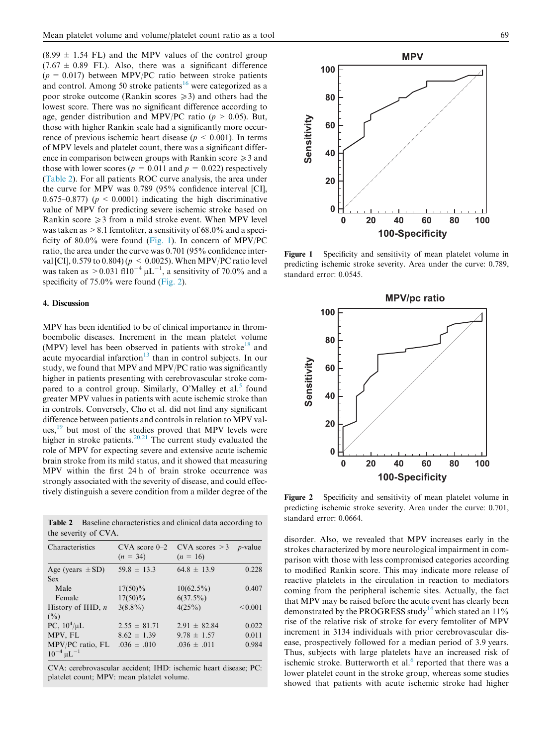$(8.99 \pm 1.54 \text{ FL})$  and the MPV values of the control group  $(7.67 \pm 0.89 \text{ FL})$ . Also, there was a significant difference  $(p = 0.017)$  between MPV/PC ratio between stroke patients and control. Among 50 stroke patients<sup>[16](#page-3-0)</sup> were categorized as a poor stroke outcome (Rankin scores  $\geq 3$ ) and others had the lowest score. There was no significant difference according to age, gender distribution and MPV/PC ratio ( $p > 0.05$ ). But, those with higher Rankin scale had a significantly more occurrence of previous ischemic heart disease ( $p < 0.001$ ). In terms of MPV levels and platelet count, there was a significant difference in comparison between groups with Rankin score  $\geq 3$  and those with lower scores ( $p = 0.011$  and  $p = 0.022$ ) respectively (Table 2). For all patients ROC curve analysis, the area under the curve for MPV was 0.789 (95% confidence interval [CI], 0.675–0.877) ( $p \le 0.0001$ ) indicating the high discriminative value of MPV for predicting severe ischemic stroke based on Rankin score  $\geq$  3 from a mild stroke event. When MPV level was taken as  $> 8.1$  femtoliter, a sensitivity of 68.0% and a specificity of 80.0% were found (Fig. 1). In concern of MPV/PC ratio, the area under the curve was 0.701 (95% confidence interval [CI], 0.579 to 0.804) ( $p < 0.0025$ ). When MPV/PC ratio level was taken as  $> 0.031$  fl $10^{-4}$   $\mu$ L<sup>-1</sup>, a sensitivity of 70.0% and a specificity of 75.0% were found (Fig. 2).

# 4. Discussion

MPV has been identified to be of clinical importance in thromboembolic diseases. Increment in the mean platelet volume (MPV) level has been observed in patients with stroke<sup>[18](#page-3-0)</sup> and acute myocardial infarction $13$  than in control subjects. In our study, we found that MPV and MPV/PC ratio was significantly higher in patients presenting with cerebrovascular stroke com-pared to a control group. Similarly, O'Malley et al.<sup>[5](#page-3-0)</sup> found greater MPV values in patients with acute ischemic stroke than in controls. Conversely, Cho et al. did not find any significant difference between patients and controls in relation to MPV values, $19$  but most of the studies proved that MPV levels were higher in stroke patients.<sup>[20,21](#page-3-0)</sup> The current study evaluated the role of MPV for expecting severe and extensive acute ischemic brain stroke from its mild status, and it showed that measuring MPV within the first 24 h of brain stroke occurrence was strongly associated with the severity of disease, and could effectively distinguish a severe condition from a milder degree of the

Table 2 Baseline characteristics and clinical data according to the severity of CVA.

| Characteristics            | $CVA$ score $0-2$<br>$(n = 34)$ | $CVA$ scores $>3$<br>$(n = 16)$ | <i>p</i> -value |
|----------------------------|---------------------------------|---------------------------------|-----------------|
| Age (years $\pm$ SD)       | $59.8 \pm 13.3$                 | $64.8 \pm 13.9$                 | 0.228           |
| <b>Sex</b>                 |                                 |                                 |                 |
| Male                       | $17(50)\%$                      | $10(62.5\%)$                    | 0.407           |
| Female                     | $17(50)\%$                      | $6(37.5\%)$                     |                 |
| History of IHD, $n$        | $3(8.8\%)$                      | 4(25%)                          | ${}_{0.001}$    |
| $($ %)                     |                                 |                                 |                 |
| PC, $10^4/\mu L$           | $2.55 \pm 81.71$                | $2.91 \pm 82.84$                | 0.022           |
| MPV, FL                    | $8.62 \pm 1.39$                 | $9.78 \pm 1.57$                 | 0.011           |
| MPV/PC ratio, FL           | $.036 \pm .010$                 | $.036 \pm .011$                 | 0.984           |
| $10^{-4}$ uL <sup>-1</sup> |                                 |                                 |                 |

CVA: cerebrovascular accident; IHD: ischemic heart disease; PC: platelet count; MPV: mean platelet volume.



Figure 1 Specificity and sensitivity of mean platelet volume in predicting ischemic stroke severity. Area under the curve: 0.789, standard error: 0.0545.



Figure 2 Specificity and sensitivity of mean platelet volume in predicting ischemic stroke severity. Area under the curve: 0.701, standard error: 0.0664.

disorder. Also, we revealed that MPV increases early in the strokes characterized by more neurological impairment in comparison with those with less compromised categories according to modified Rankin score. This may indicate more release of reactive platelets in the circulation in reaction to mediators coming from the peripheral ischemic sites. Actually, the fact that MPV may be raised before the acute event has clearly been demonstrated by the PROGRESS study<sup>14</sup> which stated an  $11\%$ rise of the relative risk of stroke for every femtoliter of MPV increment in 3134 individuals with prior cerebrovascular disease, prospectively followed for a median period of 3.9 years. Thus, subjects with large platelets have an increased risk of ischemic stroke. Butterworth et al. $<sup>6</sup>$  $<sup>6</sup>$  $<sup>6</sup>$  reported that there was a</sup> lower platelet count in the stroke group, whereas some studies showed that patients with acute ischemic stroke had higher